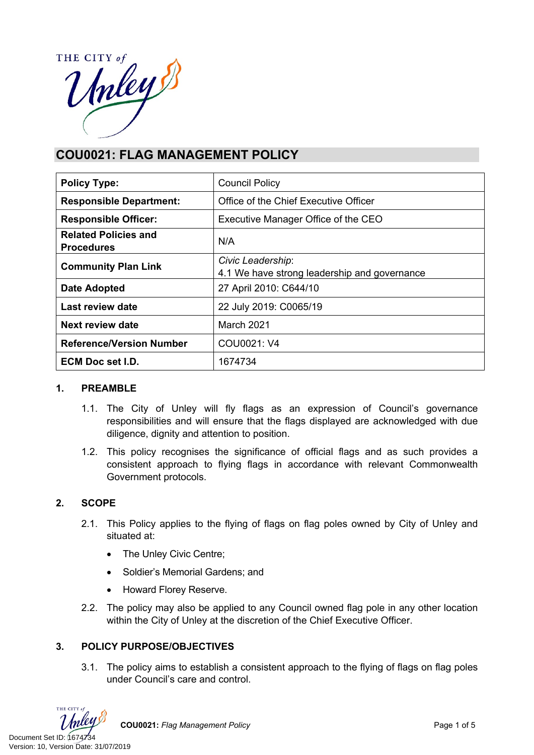THE CITY of HE CITY of

# **COU0021: FLAG MANAGEMENT POLICY**

| <b>Policy Type:</b>                              | <b>Council Policy</b>                                             |  |  |
|--------------------------------------------------|-------------------------------------------------------------------|--|--|
| <b>Responsible Department:</b>                   | Office of the Chief Executive Officer                             |  |  |
| <b>Responsible Officer:</b>                      | Executive Manager Office of the CEO                               |  |  |
| <b>Related Policies and</b><br><b>Procedures</b> | N/A                                                               |  |  |
| <b>Community Plan Link</b>                       | Civic Leadership:<br>4.1 We have strong leadership and governance |  |  |
| <b>Date Adopted</b>                              | 27 April 2010: C644/10                                            |  |  |
| Last review date                                 | 22 July 2019: C0065/19                                            |  |  |
| Next review date                                 | March 2021                                                        |  |  |
| <b>Reference/Version Number</b>                  | COU0021: V4                                                       |  |  |
| <b>ECM Doc set I.D.</b>                          | 1674734                                                           |  |  |

#### **1. PREAMBLE**

- 1.1. The City of Unley will fly flags as an expression of Council's governance responsibilities and will ensure that the flags displayed are acknowledged with due diligence, dignity and attention to position.
- 1.2. This policy recognises the significance of official flags and as such provides a consistent approach to flying flags in accordance with relevant Commonwealth Government protocols.

# **2. SCOPE**

- 2.1. This Policy applies to the flying of flags on flag poles owned by City of Unley and situated at:
	- The Unley Civic Centre;
	- Soldier's Memorial Gardens; and
	- Howard Florey Reserve.
- 2.2. The policy may also be applied to any Council owned flag pole in any other location within the City of Unley at the discretion of the Chief Executive Officer.

# **3. POLICY PURPOSE/OBJECTIVES**

3.1. The policy aims to establish a consistent approach to the flying of flags on flag poles under Council's care and control.

THE CITY of

**COU0021:** Flag Management Policy **Page 1 of 5** Page 1 of 5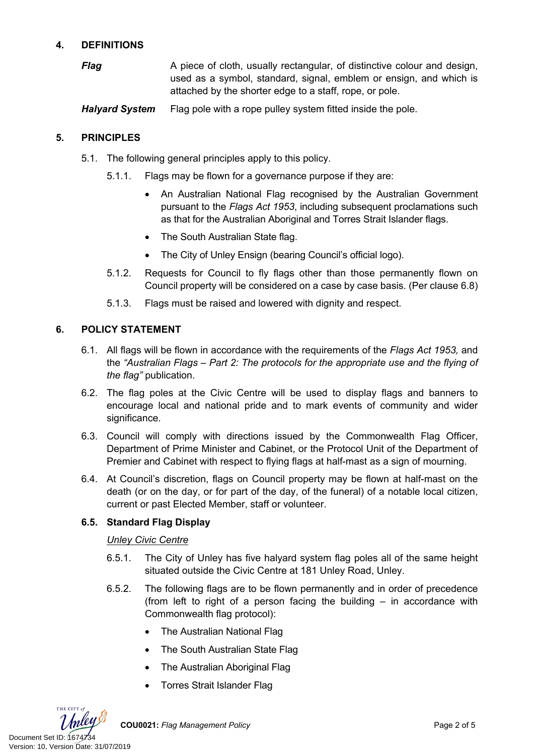# **4. DEFINITIONS**

*Flag* A piece of cloth, usually rectangular, of distinctive colour and design, used as a symbol, standard, signal, emblem or ensign, and which is attached by the shorter edge to a staff, rope, or pole.

*Halyard System* Flag pole with a rope pulley system fitted inside the pole.

#### **5. PRINCIPLES**

- 5.1. The following general principles apply to this policy.
	- 5.1.1. Flags may be flown for a governance purpose if they are:
		- An Australian National Flag recognised by the Australian Government pursuant to the *[Flags Act 1953](https://www.legislation.gov.au/Details/C2008C00376)*, including subsequent proclamations such as that for the Australian Aboriginal and Torres Strait Islander flags.
		- The South Australian State flag.
		- The City of Unley Ensign (bearing Council's official logo).
	- 5.1.2. Requests for Council to fly flags other than those permanently flown on Council property will be considered on a case by case basis. (Per clause 6.8)
	- 5.1.3. Flags must be raised and lowered with dignity and respect.

#### **6. POLICY STATEMENT**

- 6.1. All flags will be flown in accordance with the requirements of the *Flags Act 1953,* and the *"Australian Flags – Part 2: The protocols for the appropriate use and the flying of the flag"* publication.
- 6.2. The flag poles at the Civic Centre will be used to display flags and banners to encourage local and national pride and to mark events of community and wider significance.
- 6.3. Council will comply with directions issued by the Commonwealth Flag Officer, Department of Prime Minister and Cabinet, or the Protocol Unit of the Department of Premier and Cabinet with respect to flying flags at half-mast as a sign of mourning.
- 6.4. At Council's discretion, flags on Council property may be flown at half-mast on the death (or on the day, or for part of the day, of the funeral) of a notable local citizen, current or past Elected Member, staff or volunteer.

#### **6.5. Standard Flag Display**

#### *Unley Civic Centre*

- 6.5.1. The City of Unley has five halyard system flag poles all of the same height situated outside the Civic Centre at 181 Unley Road, Unley.
- 6.5.2. The following flags are to be flown permanently and in order of precedence (from left to right of a person facing the building – in accordance with Commonwealth flag protocol):
	- The Australian National Flag
	- The South Australian State Flag
	- The Australian Aboriginal Flag
	- Torres Strait Islander Flag

THE CITY of Document Set ID: (1674734<br>Version: 10, Version Date: 31/07/2019

**COU0021:** *Flag Management Policy* Page 2 of 5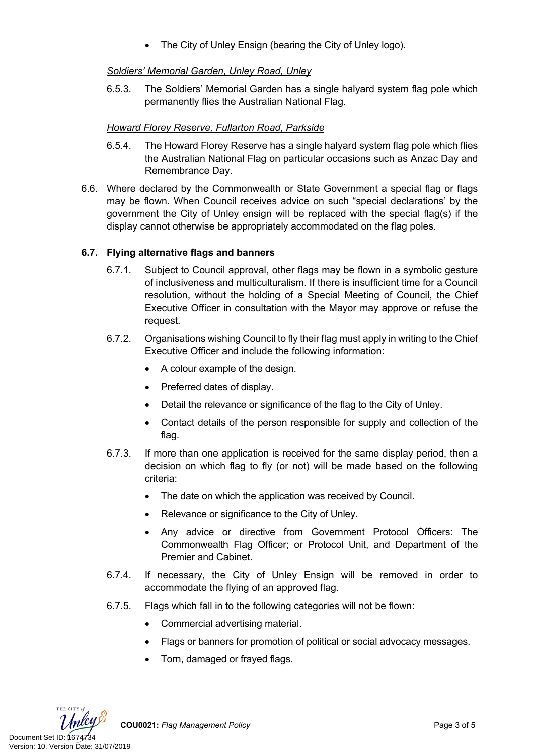The City of Unley Ensign (bearing the City of Unley logo).

# *Soldiers' Memorial Garden, Unley Road, Unley*

6.5.3. The Soldiers' Memorial Garden has a single halyard system flag pole which permanently flies the Australian National Flag.

# *Howard Florey Reserve, Fullarton Road, Parkside*

- 6.5.4. The Howard Florey Reserve has a single halyard system flag pole which flies the Australian National Flag on particular occasions such as Anzac Day and Remembrance Day.
- 6.6. Where declared by the Commonwealth or State Government a special flag or flags may be flown. When Council receives advice on such "special declarations' by the government the City of Unley ensign will be replaced with the special flag(s) if the display cannot otherwise be appropriately accommodated on the flag poles.

# **6.7. Flying alternative flags and banners**

- 6.7.1. Subject to Council approval, other flags may be flown in a symbolic gesture of inclusiveness and multiculturalism. If there is insufficient time for a Council resolution, without the holding of a Special Meeting of Council, the Chief Executive Officer in consultation with the Mayor may approve or refuse the request.
- 6.7.2. Organisations wishing Council to fly their flag must apply in writing to the Chief Executive Officer and include the following information:
	- A colour example of the design.
	- Preferred dates of display.
	- Detail the relevance or significance of the flag to the City of Unley.
	- Contact details of the person responsible for supply and collection of the flag.
- 6.7.3. If more than one application is received for the same display period, then a decision on which flag to fly (or not) will be made based on the following criteria:
	- The date on which the application was received by Council.
	- Relevance or significance to the City of Unley.
	- Any advice or directive from Government Protocol Officers: The Commonwealth Flag Officer; or Protocol Unit, and Department of the Premier and Cabinet.
- 6.7.4. If necessary, the City of Unley Ensign will be removed in order to accommodate the flying of an approved flag.
- 6.7.5. Flags which fall in to the following categories will not be flown:
	- Commercial advertising material.
	- Flags or banners for promotion of political or social advocacy messages.
	- Torn, damaged or frayed flags.

THE CITY of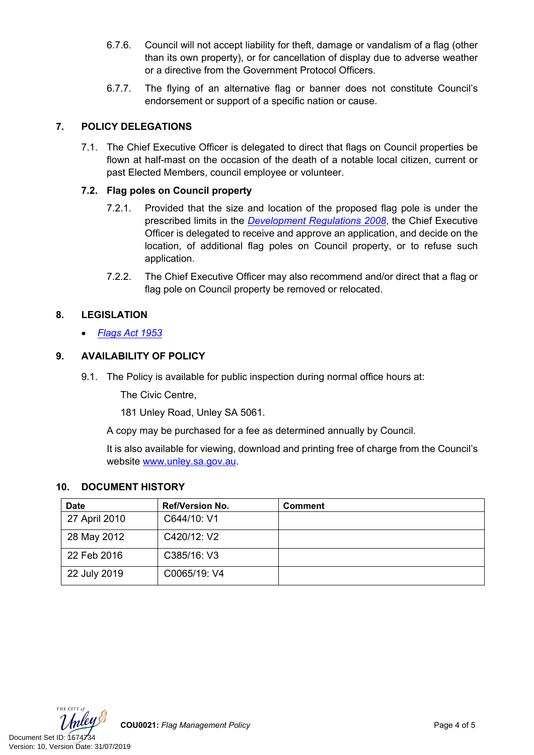- 6.7.6. Council will not accept liability for theft, damage or vandalism of a flag (other than its own property), or for cancellation of display due to adverse weather or a directive from the Government Protocol Officers.
- 6.7.7. The flying of an alternative flag or banner does not constitute Council's endorsement or support of a specific nation or cause.

# **7. POLICY DELEGATIONS**

7.1. The Chief Executive Officer is delegated to direct that flags on Council properties be flown at half-mast on the occasion of the death of a notable local citizen, current or past Elected Members, council employee or volunteer.

### **7.2. Flag poles on Council property**

- 7.2.1. Provided that the size and location of the proposed flag pole is under the prescribed limits in the *[Development Regulations 2008](https://www.legislation.sa.gov.au/LZ/C/R/DEVELOPMENT%20REGULATIONS%202008/CURRENT/2008.233.AUTH.PDF)*, the Chief Executive Officer is delegated to receive and approve an application, and decide on the location, of additional flag poles on Council property, or to refuse such application.
- 7.2.2. The Chief Executive Officer may also recommend and/or direct that a flag or flag pole on Council property be removed or relocated.

# **8. LEGISLATION**

*[Flags Act 1953](https://www.legislation.gov.au/Details/C2008C00376)*

#### **9. AVAILABILITY OF POLICY**

9.1. The Policy is available for public inspection during normal office hours at:

The Civic Centre,

181 Unley Road, Unley SA 5061.

A copy may be purchased for a fee as determined annually by Council.

It is also available for viewing, download and printing free of charge from the Council's website [www.unley.sa.gov.au](file:///C:/Users/dvonwald/AppData/Local/Microsoft/Windows/INetCache/Content.Outlook/3K0LT0PM/www.unley.sa.gov.au).

#### **10. DOCUMENT HISTORY**

| <b>Date</b>   | <b>Ref/Version No.</b> | <b>Comment</b> |
|---------------|------------------------|----------------|
| 27 April 2010 | C644/10: V1            |                |
| 28 May 2012   | C420/12: V2            |                |
| 22 Feb 2016   | C385/16: V3            |                |
| 22 July 2019  | C0065/19: V4           |                |